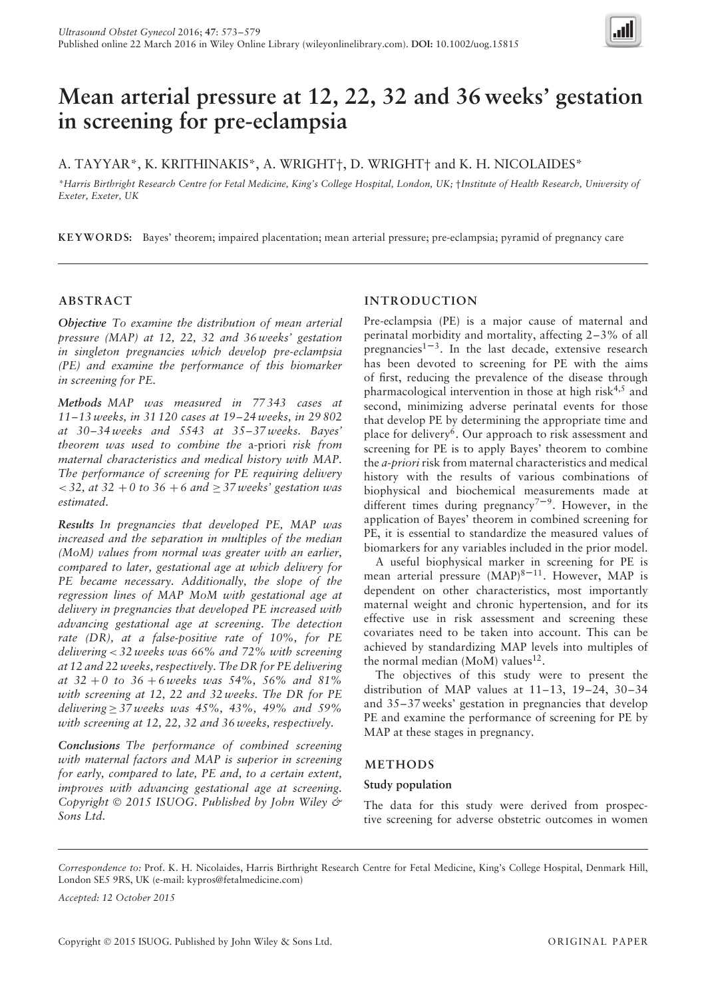

# **Mean arterial pressure at 12, 22, 32 and 36 weeks' gestation in screening for pre-eclampsia**

# A. TAYYAR\*, K. KRITHINAKIS\*, A. WRIGHT†, D. WRIGHT† and K. H. NICOLAIDES\*

*\*Harris Birthright Research Centre for Fetal Medicine, King's College Hospital, London, UK;* †*Institute of Health Research, University of Exeter, Exeter, UK*

**KEYWORDS:** Bayes' theorem; impaired placentation; mean arterial pressure; pre-eclampsia; pyramid of pregnancy care

## **ABSTRACT**

*Objective To examine the distribution of mean arterial pressure (MAP) at 12, 22, 32 and 36 weeks' gestation in singleton pregnancies which develop pre-eclampsia (PE) and examine the performance of this biomarker in screening for PE.*

*Methods MAP was measured in 77 343 cases at 11–13 weeks, in 31 120 cases at 19–24 weeks, in 29 802 at 30–34 weeks and 5543 at 35–37 weeks. Bayes' theorem was used to combine the* a-priori *risk from maternal characteristics and medical history with MAP. The performance of screening for PE requiring delivery < 32, at 32* + *0 to 36* + *6 and* ≥ *37 weeks' gestation was estimated.*

*Results In pregnancies that developed PE, MAP was increased and the separation in multiples of the median (MoM) values from normal was greater with an earlier, compared to later, gestational age at which delivery for PE became necessary. Additionally, the slope of the regression lines of MAP MoM with gestational age at delivery in pregnancies that developed PE increased with advancing gestational age at screening. The detection rate (DR), at a false-positive rate of 10%, for PE delivering < 32 weeks was 66% and 72% with screening at 12 and 22 weeks, respectively. The DR for PE delivering at 32* + *0 to 36* + *6 weeks was 54%, 56% and 81% with screening at 12, 22 and 32 weeks. The DR for PE delivering* ≥ *37 weeks was 45%, 43%, 49% and 59% with screening at 12, 22, 32 and 36 weeks, respectively.*

*Conclusions The performance of combined screening with maternal factors and MAP is superior in screening for early, compared to late, PE and, to a certain extent, improves with advancing gestational age at screening. Copyright* © *2015 ISUOG. Published by John Wiley & Sons Ltd.*

## **INTRODUCTION**

Pre-eclampsia (PE) is a major cause of maternal and perinatal morbidity and mortality, affecting 2–3% of all pregnancies<sup>1–3</sup>. In the last decade, extensive research has been devoted to screening for PE with the aims of first, reducing the prevalence of the disease through pharmacological intervention in those at high risk $4,5$  and second, minimizing adverse perinatal events for those that develop PE by determining the appropriate time and place for delivery<sup>6</sup>. Our approach to risk assessment and screening for PE is to apply Bayes' theorem to combine the *a-priori* risk from maternal characteristics and medical history with the results of various combinations of biophysical and biochemical measurements made at different times during pregnancy<sup>7-9</sup>. However, in the application of Bayes' theorem in combined screening for PE, it is essential to standardize the measured values of biomarkers for any variables included in the prior model.

A useful biophysical marker in screening for PE is mean arterial pressure  $(MAP)^{8-11}$ . However, MAP is dependent on other characteristics, most importantly maternal weight and chronic hypertension, and for its effective use in risk assessment and screening these covariates need to be taken into account. This can be achieved by standardizing MAP levels into multiples of the normal median (MoM) values<sup>12</sup>.

The objectives of this study were to present the distribution of MAP values at 11–13, 19–24, 30–34 and 35–37 weeks' gestation in pregnancies that develop PE and examine the performance of screening for PE by MAP at these stages in pregnancy.

## **METHODS**

#### **Study population**

The data for this study were derived from prospective screening for adverse obstetric outcomes in women

*Correspondence to:* Prof. K. H. Nicolaides, Harris Birthright Research Centre for Fetal Medicine, King's College Hospital, Denmark Hill, London SE5 9RS, UK (e-mail: kypros@fetalmedicine.com)

*Accepted: 12 October 2015*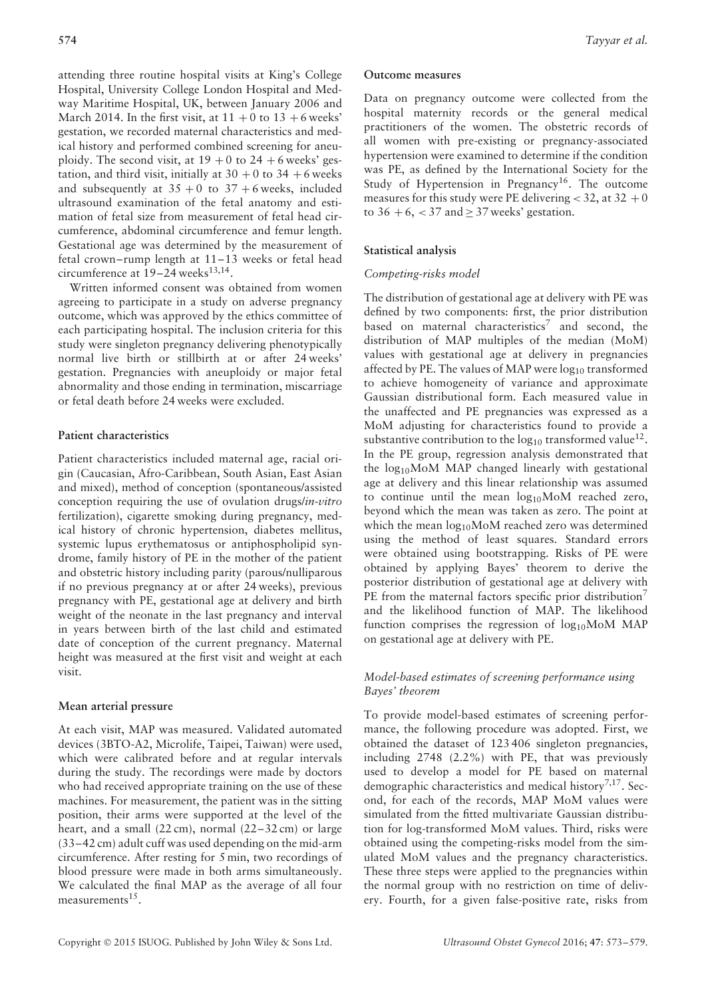attending three routine hospital visits at King's College Hospital, University College London Hospital and Medway Maritime Hospital, UK, between January 2006 and March 2014. In the first visit, at  $11 + 0$  to  $13 + 6$  weeks' gestation, we recorded maternal characteristics and medical history and performed combined screening for aneuploidy. The second visit, at  $19 + 0$  to  $24 + 6$  weeks' gestation, and third visit, initially at  $30 + 0$  to  $34 + 6$  weeks and subsequently at  $35 + 0$  to  $37 + 6$  weeks, included ultrasound examination of the fetal anatomy and estimation of fetal size from measurement of fetal head circumference, abdominal circumference and femur length. Gestational age was determined by the measurement of fetal crown–rump length at 11–13 weeks or fetal head circumference at  $19-24$  weeks<sup>13,14</sup>.

Written informed consent was obtained from women agreeing to participate in a study on adverse pregnancy outcome, which was approved by the ethics committee of each participating hospital. The inclusion criteria for this study were singleton pregnancy delivering phenotypically normal live birth or stillbirth at or after 24 weeks' gestation. Pregnancies with aneuploidy or major fetal abnormality and those ending in termination, miscarriage or fetal death before 24 weeks were excluded.

## **Patient characteristics**

Patient characteristics included maternal age, racial origin (Caucasian, Afro-Caribbean, South Asian, East Asian and mixed), method of conception (spontaneous/assisted conception requiring the use of ovulation drugs/*in-vitro* fertilization), cigarette smoking during pregnancy, medical history of chronic hypertension, diabetes mellitus, systemic lupus erythematosus or antiphospholipid syndrome, family history of PE in the mother of the patient and obstetric history including parity (parous/nulliparous if no previous pregnancy at or after 24 weeks), previous pregnancy with PE, gestational age at delivery and birth weight of the neonate in the last pregnancy and interval in years between birth of the last child and estimated date of conception of the current pregnancy. Maternal height was measured at the first visit and weight at each visit.

## **Mean arterial pressure**

At each visit, MAP was measured. Validated automated devices (3BTO-A2, Microlife, Taipei, Taiwan) were used, which were calibrated before and at regular intervals during the study. The recordings were made by doctors who had received appropriate training on the use of these machines. For measurement, the patient was in the sitting position, their arms were supported at the level of the heart, and a small  $(22 \text{ cm})$ , normal  $(22-32 \text{ cm})$  or large (33–42 cm) adult cuff was used depending on the mid-arm circumference. After resting for 5 min, two recordings of blood pressure were made in both arms simultaneously. We calculated the final MAP as the average of all four measurements $15$ .

#### **Outcome measures**

Data on pregnancy outcome were collected from the hospital maternity records or the general medical practitioners of the women. The obstetric records of all women with pre-existing or pregnancy-associated hypertension were examined to determine if the condition was PE, as defined by the International Society for the Study of Hypertension in Pregnancy<sup>16</sup>. The outcome measures for this study were PE delivering  $<$  32, at 32 + 0 to  $36 + 6$ ,  $< 37$  and  $\geq 37$  weeks' gestation.

### **Statistical analysis**

#### *Competing-risks model*

The distribution of gestational age at delivery with PE was defined by two components: first, the prior distribution based on maternal characteristics<sup>7</sup> and second, the distribution of MAP multiples of the median (MoM) values with gestational age at delivery in pregnancies affected by PE. The values of MAP were  $log_{10}$  transformed to achieve homogeneity of variance and approximate Gaussian distributional form. Each measured value in the unaffected and PE pregnancies was expressed as a MoM adjusting for characteristics found to provide a substantive contribution to the  $log_{10}$  transformed value<sup>12</sup>. In the PE group, regression analysis demonstrated that the  $log_{10}$ MoM MAP changed linearly with gestational age at delivery and this linear relationship was assumed to continue until the mean  $log_{10}$ MoM reached zero, beyond which the mean was taken as zero. The point at which the mean  $log_{10}$ MoM reached zero was determined using the method of least squares. Standard errors were obtained using bootstrapping. Risks of PE were obtained by applying Bayes' theorem to derive the posterior distribution of gestational age at delivery with PE from the maternal factors specific prior distribution<sup>7</sup> and the likelihood function of MAP. The likelihood function comprises the regression of  $log_{10}$ MoM MAP on gestational age at delivery with PE.

## *Model-based estimates of screening performance using Bayes' theorem*

To provide model-based estimates of screening performance, the following procedure was adopted. First, we obtained the dataset of 123 406 singleton pregnancies, including 2748 (2.2%) with PE, that was previously used to develop a model for PE based on maternal demographic characteristics and medical history<sup>7,17</sup>. Second, for each of the records, MAP MoM values were simulated from the fitted multivariate Gaussian distribution for log-transformed MoM values. Third, risks were obtained using the competing-risks model from the simulated MoM values and the pregnancy characteristics. These three steps were applied to the pregnancies within the normal group with no restriction on time of delivery. Fourth, for a given false-positive rate, risks from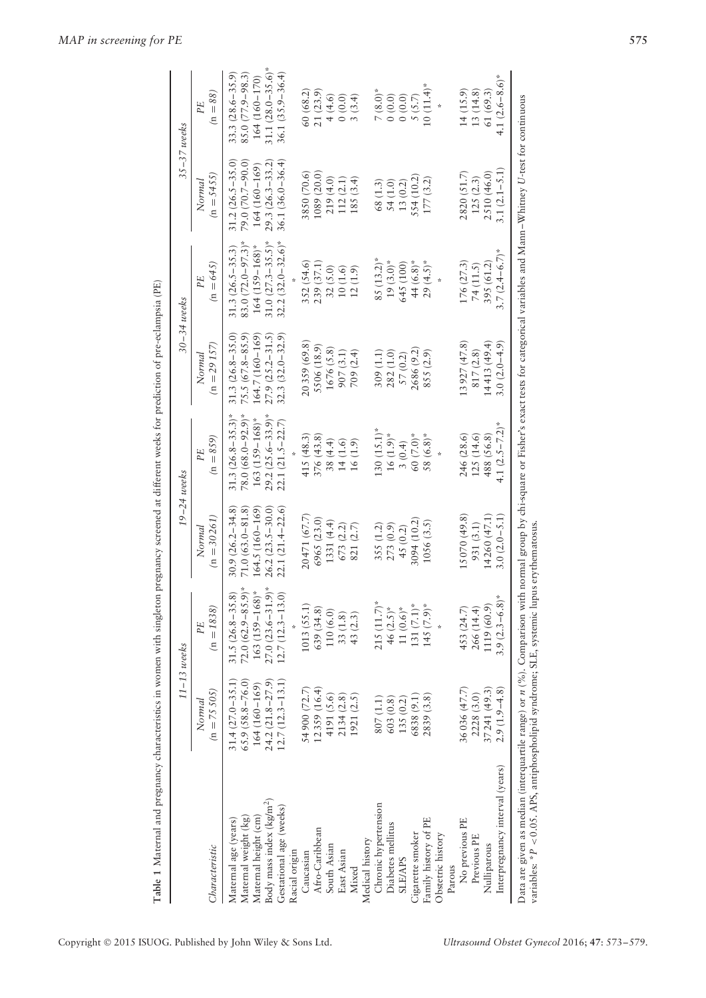|                                                                                                                                                                                                |                         | $11-13$ weeks          |                         | $19 - 24$ weeks        |                         | 30–34 weeks            |                        | 35–37 weeks             |
|------------------------------------------------------------------------------------------------------------------------------------------------------------------------------------------------|-------------------------|------------------------|-------------------------|------------------------|-------------------------|------------------------|------------------------|-------------------------|
| Characteristic                                                                                                                                                                                 | $(n = 75505)$<br>Normal | $(n = 1838)$<br>PF     | $(n = 30261)$<br>Normal | $(n = 859)$<br>PE      | $(n = 29157)$<br>Normal | $(n = 645)$<br>PE      | $(n = 5455)$<br>Normal | $(n = 88)$<br>PE        |
| Maternal age (years)                                                                                                                                                                           | $31.4(27.0 - 35.1)$     | $31.5(26.8 - 35.8)$    | $30.9(26.2 - 34.8)$     | $31.3(26.8-35.3)^*$    | $31.3(26.8 - 35.0)$     | $31.3(26.5 - 35.3)$    | $31.2(26.5 - 35.0)$    | $33.3(28.6 - 35.9)$     |
| Maternal weight (kg)                                                                                                                                                                           | $65.9(58.8 - 76.0)$     | $72.0 (62.9 - 85.9)^*$ | $71.0(63.0 - 81.8)$     | $78.0 (68.0 - 92.9)^*$ | $75.5(67.8-85.9)$       | $83.0(72.0-97.3)$ *    | 79.0 (70.7–90.0)       | $85.0(77.9 - 98.3)$     |
| Maternal height (cm)                                                                                                                                                                           | $164(160-169)$          | $163 (159 - 168)^*$    | 164.5 (160-169          | $163 (159 - 168)$ *    | 164.7 (160-169)         | $164$ $(159 - 168)$ *  | 164 (160-169)          | 164 (160-170)           |
| Body mass index (kg/m <sup>2</sup> )                                                                                                                                                           | 24.2 (21.8-27.9         | $27.0(23.6-31.9)^*$    | $26.2(23.5 - 30.0)$     | $29.2 (25.6 - 33.9)^*$ | $27.9(25.2 - 31.5)$     | $31.0 (27.3 - 35.5)^*$ | $29.3(26.3 - 33.2)$    | 31.1 $(28.0 - 35.6)^*$  |
| Gestational age (weeks)                                                                                                                                                                        | $12.7(12.3 - 13.1)$     | $12.7(12.3 - 13.0)$    | $22.1(21.4 - 22.6)$     | $22.1(21.5 - 22.7)$    | $32.3(32.0 - 32.9)$     | $32.2(32.0 - 32.6)^*$  | $36.1(36.0 - 36.4)$    | $36.1 (35.9 - 36.4)$    |
| Racial origin                                                                                                                                                                                  |                         |                        |                         |                        |                         |                        |                        |                         |
| Caucasian                                                                                                                                                                                      | 54 900 (72.7)           | 1013 (55.1)            | 20471 (67.7)            | 415(48.3)              | 20359 (69.8)            | 352 (54.6)             | 3850 (70.6)            | 60 (68.2)               |
| Afro-Caribbean                                                                                                                                                                                 | 12359 (16.4)            | 639 (34.8)             | 6965 (23.0)             | 376 (43.8)             | 5506 (18.9)             | 239 (37.1)             | 1089 (20.0)            | 21(23.9)                |
| South Asian                                                                                                                                                                                    | 4191 (5.6)              | 110 (6.0)              | 1331 (4.4)              | 38 (4.4)               | 1676 (5.8)              | 32(5.0)                | 219 (4.0)              | 4(4.6)                  |
| East Asian                                                                                                                                                                                     | 2134(2.8)               | 33(1.8)                | 673 (2.2)               | 14(1.6)                | 907(3.1)                | 10(1.6)                | 112(2.1)               | (0.0)                   |
| Mixed                                                                                                                                                                                          | 1921 (2.5)              | 43 (2.3)               | 821(2.7)                | 16(1.9)                | 709(2.4)                | 12(1.9)                | 185(3.4)               | 3(3.4)                  |
| Medical history                                                                                                                                                                                |                         |                        |                         |                        |                         |                        |                        |                         |
| Chronic hypertension                                                                                                                                                                           | 807(1.1)                | $215(11.7)$ *          | 355 (1.2)               | $130(15.1)^*$          | 309 (1.1)               | $85(13.2)^*$           | 68 (1.3)               | $7(8.0)*$               |
| Diabetes mellitus                                                                                                                                                                              | 603(0.8)                | 46 $(2.5)$ *           | 273 (0.9)               | $16(1.9)*$             | 282 (1.0)               | $19(3.0)*$             | 54 (1.0)               | (0.0, 0)                |
| <b>SLE/APS</b>                                                                                                                                                                                 | 135(0.2)                | 11 $(0.6)*$            | 45 (0.2)                | 3(0.4)                 | 57 (0.2)                | 645 (100)              | 13(0.2)                | 0(0.0)                  |
| Cigarette smoker                                                                                                                                                                               | 6838 (9.1)              | $131(7.1)$ *           | 3094 (10.2)             | 60 (7.0)*              | 2686 (9.2)              | 44 (6.8)*              | 554 (10.2)             | 5(5.7)                  |
| Family history of PE                                                                                                                                                                           | 2839 (3.8)              | $145 (7.9)$ *          | 1056(3.5)               | $58(6.8)$ *            | 855(2.9)                | $29(4.5)$ <sup>*</sup> | 177(3.2)               | $10(11.4)$ <sup>*</sup> |
| Obstetric history                                                                                                                                                                              |                         |                        |                         |                        |                         |                        |                        | ÷                       |
| Parous                                                                                                                                                                                         |                         |                        |                         |                        |                         |                        |                        |                         |
| No previous PE                                                                                                                                                                                 | 36036 (47.7)            | 453 (24.7)             | 15070 (49.8)            | 246 (28.6)             | 13 927 (47.8)           | 176 (27.3)             | 2820(51.7)             | 14(15.9)                |
| Previous PE                                                                                                                                                                                    | 2228 (3.0)              | 266 (14.4)             | 931 (3.1)               | 125(14.6)              | 817(2.8)                | 74(11.5)               | 125(2.3)               | 13(14.8)                |
| Nulliparous                                                                                                                                                                                    | 37241 (49.3)            | 1119 (60.9)            | 14 260 (47.1)           | 488 (56.8)             | 14413 (49.4)            | 395 (61.2)             | 2510 (46.0)            | 61 (69.3)               |
| Interpregnancy interval (years)                                                                                                                                                                | $2.9(1.9-4.8)$          | $3.9(2.3 - 6.8)$       | $3.0(2.0 - 5.1)$        | 4.1 $(2.5 - 7.2)^*$    | $3.0(2.0-4.9)$          | $3.7(2.4 - 6.7)^*$     | $3.1(2.1 - 5.1)$       | 4.1 $(2.6-8.6)^*$       |
| Data are given as median (interquartile range) or $n$ (%). Comparison with normal group by chi-square or Fisher's exact tests for categorical variables and Mann–Whitney U-test for continuous |                         |                        |                         |                        |                         |                        |                        |                         |

Table 1 Maternal and pregnancy characteristics in women with singleton pregnancy screened at different weeks for prediction of pre-eclampsia (PE)

variables: \*

*P <*

0.05. APS, antiphospholipid syndrome; SLE, systemic lupus erythematosus.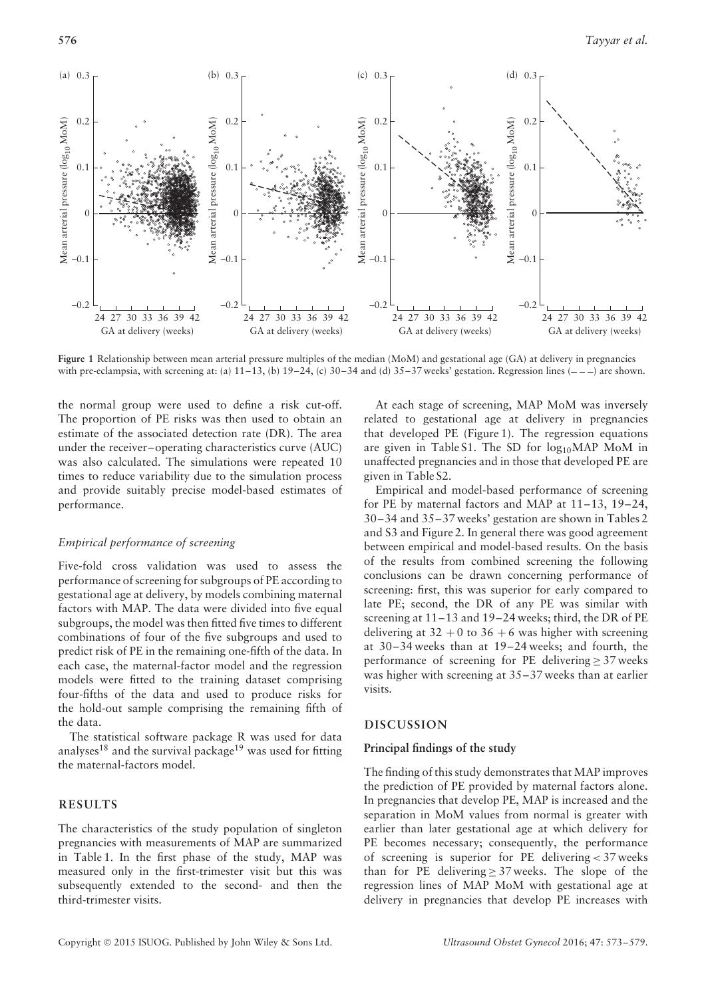

**Figure 1** Relationship between mean arterial pressure multiples of the median (MoM) and gestational age (GA) at delivery in pregnancies with pre-eclampsia, with screening at: (a)  $11-13$ , (b)  $19-24$ , (c)  $30-34$  and (d)  $35-37$  weeks' gestation. Regression lines  $(-,-)$  are shown.

the normal group were used to define a risk cut-off. The proportion of PE risks was then used to obtain an estimate of the associated detection rate (DR). The area under the receiver–operating characteristics curve (AUC) was also calculated. The simulations were repeated 10 times to reduce variability due to the simulation process and provide suitably precise model-based estimates of performance.

## *Empirical performance of screening*

Five-fold cross validation was used to assess the performance of screening for subgroups of PE according to gestational age at delivery, by models combining maternal factors with MAP. The data were divided into five equal subgroups, the model was then fitted five times to different combinations of four of the five subgroups and used to predict risk of PE in the remaining one-fifth of the data. In each case, the maternal-factor model and the regression models were fitted to the training dataset comprising four-fifths of the data and used to produce risks for the hold-out sample comprising the remaining fifth of the data.

The statistical software package R was used for data analyses<sup>18</sup> and the survival package<sup>19</sup> was used for fitting the maternal-factors model.

#### **RESULTS**

The characteristics of the study population of singleton pregnancies with measurements of MAP are summarized in Table 1. In the first phase of the study, MAP was measured only in the first-trimester visit but this was subsequently extended to the second- and then the third-trimester visits.

At each stage of screening, MAP MoM was inversely related to gestational age at delivery in pregnancies that developed PE (Figure 1). The regression equations are given in Table S1. The SD for  $log_{10}MAP$  MoM in unaffected pregnancies and in those that developed PE are given in Table S2.

Empirical and model-based performance of screening for PE by maternal factors and MAP at 11–13, 19–24, 30–34 and 35–37 weeks' gestation are shown in Tables 2 and S3 and Figure 2. In general there was good agreement between empirical and model-based results. On the basis of the results from combined screening the following conclusions can be drawn concerning performance of screening: first, this was superior for early compared to late PE; second, the DR of any PE was similar with screening at 11–13 and 19–24 weeks; third, the DR of PE delivering at  $32 + 0$  to  $36 + 6$  was higher with screening at 30–34 weeks than at 19–24 weeks; and fourth, the performance of screening for PE delivering  $\geq$  37 weeks was higher with screening at 35–37 weeks than at earlier visits.

#### **DISCUSSION**

#### **Principal findings of the study**

The finding of this study demonstrates that MAP improves the prediction of PE provided by maternal factors alone. In pregnancies that develop PE, MAP is increased and the separation in MoM values from normal is greater with earlier than later gestational age at which delivery for PE becomes necessary; consequently, the performance of screening is superior for PE delivering *<* 37 weeks than for PE delivering  $\geq$  37 weeks. The slope of the regression lines of MAP MoM with gestational age at delivery in pregnancies that develop PE increases with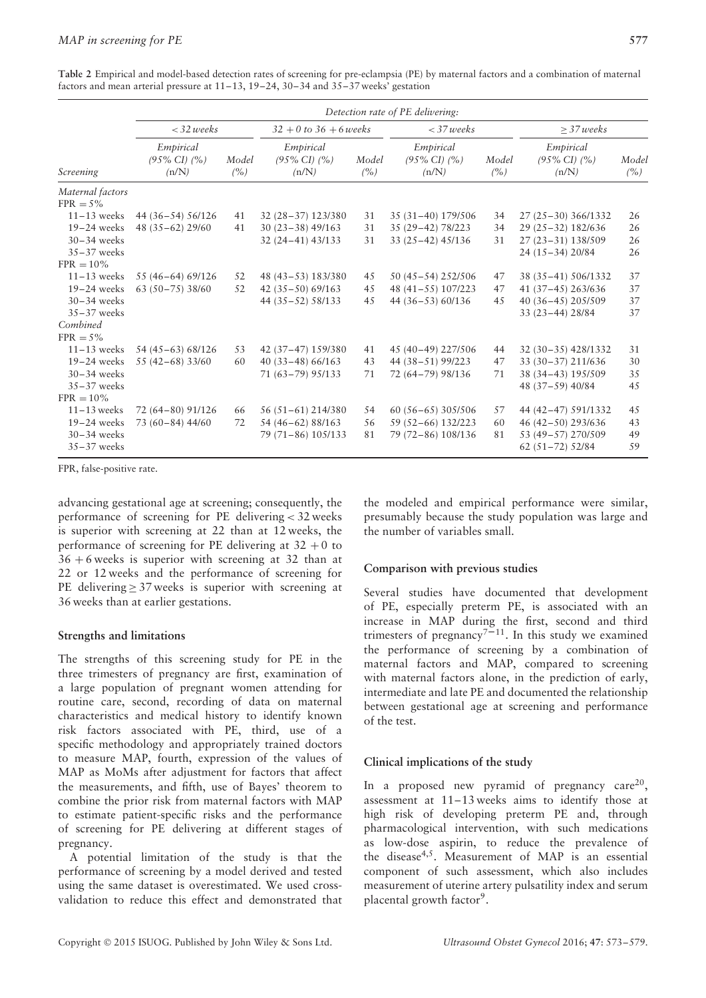**Table 2** Empirical and model-based detection rates of screening for pre-eclampsia (PE) by maternal factors and a combination of maternal factors and mean arterial pressure at 11–13, 19–24, 30–34 and 35–37 weeks' gestation

|                                  | Detection rate of PE delivering:               |              |                                                |               |                                                |              |                                                |              |  |
|----------------------------------|------------------------------------------------|--------------|------------------------------------------------|---------------|------------------------------------------------|--------------|------------------------------------------------|--------------|--|
| Screening                        | $<$ 32 weeks                                   |              | $32 + 0$ to 36 + 6 weeks                       |               | $<$ 37 weeks                                   |              | $\geq$ 37 weeks                                |              |  |
|                                  | Empirical<br>$(95\% \text{ CI})$ $(%$<br>(n/N) | Model<br>(%) | Empirical<br>$(95\% \text{ CI})$ $(%$<br>(n/N) | Model<br>(% ) | Empirical<br>$(95\% \text{ CI})$ $(%$<br>(n/N) | Model<br>(%) | Empirical<br>$(95\% \text{ CI})$ $(%$<br>(n/N) | Model<br>(%) |  |
| Maternal factors<br>$FPR = 5\%$  |                                                |              |                                                |               |                                                |              |                                                |              |  |
| $11-13$ weeks                    | 44 (36-54) 56/126                              | 41           | 32 (28-37) 123/380                             | 31            | 35 (31-40) 179/506                             | 34           | 27 (25-30) 366/1332                            | 26           |  |
| $19-24$ weeks                    | 48 (35-62) 29/60                               | 41           | $30(23-38)$ 49/163                             | 31            | 35 (29-42) 78/223                              | 34           | 29 (25 - 32) 182/636                           | 26           |  |
| $30 - 34$ weeks                  |                                                |              | 32 (24 – 41) 43/133                            | 31            | 33 (25-42) 45/136                              | 31           | 27 (23-31) 138/509                             | 26           |  |
| $35-37$ weeks                    |                                                |              |                                                |               |                                                |              | 24 (15-34) 20/84                               | 26           |  |
| $FPR = 10\%$                     |                                                |              |                                                |               |                                                |              |                                                |              |  |
| $11-13$ weeks                    | 55 (46-64) 69/126                              | 52           | 48 (43 - 53) 183/380                           | 45            | 50 (45 – 54) 252/506                           | 47           | 38 (35-41) 506/1332                            | 37           |  |
| $19-24$ weeks                    | $63(50-75)38/60$                               | 52           | $42(35-50)$ 69/163                             | 45            | 48 (41-55) 107/223                             | 47           | 41 (37-45) 263/636                             | 37           |  |
| $30 - 34$ weeks                  |                                                |              | 44 (35 - 52) 58/133                            | 45            | 44 (36-53) 60/136                              | 45           | 40 (36-45) 205/509                             | 37           |  |
| $35-37$ weeks                    |                                                |              |                                                |               |                                                |              | 33 (23-44) 28/84                               | 37           |  |
| Combined                         |                                                |              |                                                |               |                                                |              |                                                |              |  |
| $FPR = 5\%$                      |                                                |              |                                                |               |                                                |              |                                                |              |  |
| $11-13$ weeks                    | 54 (45-63) 68/126                              | 53           | 42 (37-47) 159/380                             | 41            | 45 (40-49) 227/506                             | 44           | 32 (30-35) 428/1332                            | 31           |  |
| $19-24$ weeks                    | 55 (42-68) 33/60                               | 60           | $40(33-48)66/163$                              | 43            | 44 (38-51) 99/223                              | 47           | 33 (30-37) 211/636                             | 30           |  |
| $30 - 34$ weeks                  |                                                |              | 71 (63-79) 95/133                              | 71            | 72 (64-79) 98/136                              | 71           | 38 (34-43) 195/509                             | 35           |  |
| $35-37$ weeks                    |                                                |              |                                                |               |                                                |              | 48 (37-59) 40/84                               | 45           |  |
| $FPR = 10\%$                     |                                                |              |                                                |               |                                                |              |                                                |              |  |
| $11-13$ weeks                    | 72 (64-80) 91/126                              | 66           | 56 (51-61) 214/380                             | 54            | 60 (56-65) 305/506                             | 57           | 44 (42-47) 591/1332                            | 45           |  |
| $19-24$ weeks                    | 73 (60-84) 44/60                               | 72           | 54 (46-62) 88/163                              | 56            | 59 (52-66) 132/223                             | 60           | 46 (42-50) 293/636                             | 43           |  |
| $30 - 34$ weeks<br>$35-37$ weeks |                                                |              | 79 (71-86) 105/133                             | 81            | 79 (72-86) 108/136                             | 81           | 53 (49-57) 270/509<br>$62(51-72)$ 52/84        | 49<br>59     |  |

FPR, false-positive rate.

advancing gestational age at screening; consequently, the performance of screening for PE delivering *<* 32 weeks is superior with screening at 22 than at 12 weeks, the performance of screening for PE delivering at  $32 + 0$  to  $36 + 6$  weeks is superior with screening at 32 than at 22 or 12 weeks and the performance of screening for PE delivering  $\geq$  37 weeks is superior with screening at 36 weeks than at earlier gestations.

#### **Strengths and limitations**

The strengths of this screening study for PE in the three trimesters of pregnancy are first, examination of a large population of pregnant women attending for routine care, second, recording of data on maternal characteristics and medical history to identify known risk factors associated with PE, third, use of a specific methodology and appropriately trained doctors to measure MAP, fourth, expression of the values of MAP as MoMs after adjustment for factors that affect the measurements, and fifth, use of Bayes' theorem to combine the prior risk from maternal factors with MAP to estimate patient-specific risks and the performance of screening for PE delivering at different stages of pregnancy.

A potential limitation of the study is that the performance of screening by a model derived and tested using the same dataset is overestimated. We used crossvalidation to reduce this effect and demonstrated that

the modeled and empirical performance were similar, presumably because the study population was large and the number of variables small.

#### **Comparison with previous studies**

Several studies have documented that development of PE, especially preterm PE, is associated with an increase in MAP during the first, second and third trimesters of pregnancy<sup>7-11</sup>. In this study we examined the performance of screening by a combination of maternal factors and MAP, compared to screening with maternal factors alone, in the prediction of early, intermediate and late PE and documented the relationship between gestational age at screening and performance of the test.

### **Clinical implications of the study**

In a proposed new pyramid of pregnancy care<sup>20</sup>, assessment at 11–13 weeks aims to identify those at high risk of developing preterm PE and, through pharmacological intervention, with such medications as low-dose aspirin, to reduce the prevalence of the disease4,5. Measurement of MAP is an essential component of such assessment, which also includes measurement of uterine artery pulsatility index and serum placental growth factor<sup>9</sup>.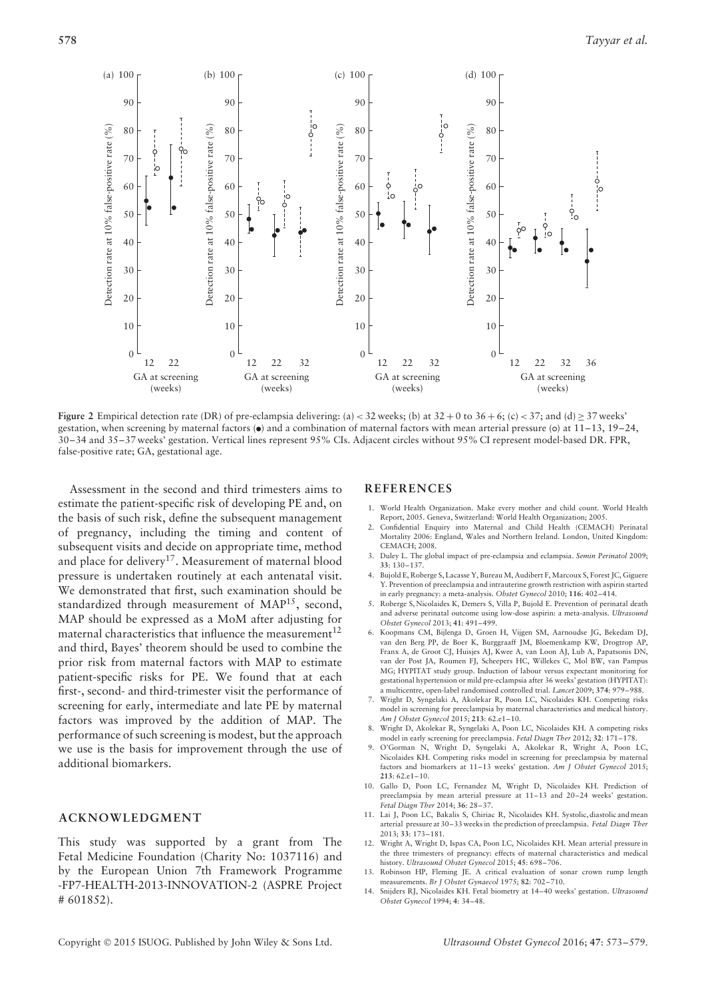

**Figure 2** Empirical detection rate (DR) of pre-eclampsia delivering: (a)  $<$  32 weeks; (b) at 32 + 0 to 36 + 6; (c)  $<$  37; and (d)  $\geq$  37 weeks' gestation, when screening by maternal factors  $\ddot{\bullet}$  and a combination of maternal factors with mean arterial pressure (o) at 11–13, 19–24, 30–34 and 35–37 weeks' gestation. Vertical lines represent 95% CIs. Adjacent circles without 95% CI represent model-based DR. FPR, false-positive rate; GA, gestational age.

Assessment in the second and third trimesters aims to estimate the patient-specific risk of developing PE and, on the basis of such risk, define the subsequent management of pregnancy, including the timing and content of subsequent visits and decide on appropriate time, method and place for delivery<sup>17</sup>. Measurement of maternal blood pressure is undertaken routinely at each antenatal visit. We demonstrated that first, such examination should be standardized through measurement of MAP15, second, MAP should be expressed as a MoM after adjusting for maternal characteristics that influence the measurement<sup>12</sup> and third, Bayes' theorem should be used to combine the prior risk from maternal factors with MAP to estimate patient-specific risks for PE. We found that at each first-, second- and third-trimester visit the performance of screening for early, intermediate and late PE by maternal factors was improved by the addition of MAP. The performance of such screening is modest, but the approach we use is the basis for improvement through the use of additional biomarkers.

## **ACKNOWLEDGMENT**

This study was supported by a grant from The Fetal Medicine Foundation (Charity No: 1037116) and by the European Union 7th Framework Programme -FP7-HEALTH-2013-INNOVATION-2 (ASPRE Project # 601852).

## **REFERENCES**

- 1. World Health Organization. Make every mother and child count. World Health Report, 2005. Geneva, Switzerland: World Health Organization; 2005.
- 2. Confidential Enquiry into Maternal and Child Health (CEMACH) Perinatal Mortality 2006: England, Wales and Northern Ireland. London, United Kingdom: CEMACH; 2008.
- 3. Duley L. The global impact of pre-eclampsia and eclampsia. *Semin Perinatol* 2009; **33**: 130–137.
- 4. Bujold E, Roberge S, Lacasse Y, Bureau M, Audibert F, Marcoux S, Forest JC, Giguere Y. Prevention of preeclampsia and intrauterine growth restriction with aspirin started in early pregnancy: a meta-analysis. *Obstet Gynecol* 2010; **116**: 402–414.
- 5. Roberge S, Nicolaides K, Demers S, Villa P, Bujold E. Prevention of perinatal death and adverse perinatal outcome using low-dose aspirin: a meta-analysis. *Ultrasound Obstet Gynecol* 2013; **41**: 491–499.
- 6. Koopmans CM, Bijlenga D, Groen H, Vijgen SM, Aarnoudse JG, Bekedam DJ, van den Berg PP, de Boer K, Burggraaff JM, Bloemenkamp KW, Drogtrop AP, Franx A, de Groot CJ, Huisjes AJ, Kwee A, van Loon AJ, Lub A, Papatsonis DN, van der Post JA, Roumen FJ, Scheepers HC, Willekes C, Mol BW, van Pampus MG; HYPITAT study group. Induction of labour versus expectant monitoring for gestational hypertension or mild pre-eclampsia after 36 weeks' gestation (HYPITAT): a multicentre, open-label randomised controlled trial. *Lancet* 2009; **374**: 979–988.
- 7. Wright D, Syngelaki A, Akolekar R, Poon LC, Nicolaides KH. Competing risks model in screening for preeclampsia by maternal characteristics and medical history. *Am J Obstet Gynecol* 2015; **213**: 62.e1–10.
- 8. Wright D, Akolekar R, Syngelaki A, Poon LC, Nicolaides KH. A competing risks model in early screening for preeclampsia. *Fetal Diagn Ther* 2012; **32**: 171–178.
- 9. O'Gorman N, Wright D, Syngelaki A, Akolekar R, Wright A, Poon LC, Nicolaides KH. Competing risks model in screening for preeclampsia by maternal factors and biomarkers at 11–13 weeks' gestation. *Am J Obstet Gynecol* 2015; **213**: 62.e1–10.
- 10. Gallo D, Poon LC, Fernandez M, Wright D, Nicolaides KH. Prediction of preeclampsia by mean arterial pressure at 11–13 and 20–24 weeks' gestation. *Fetal Diagn Ther* 2014; **36**: 28–37.
- 11. Lai J, Poon LC, Bakalis S, Chiriac R, Nicolaides KH. Systolic, diastolic and mean arterial pressure at 30–33 weeks in the prediction of preeclampsia. *Fetal Diagn Ther* 2013; **33**: 173–181.
- 12. Wright A, Wright D, Ispas CA, Poon LC, Nicolaides KH. Mean arterial pressure in the three trimesters of pregnancy: effects of maternal characteristics and medical history. *Ultrasound Obstet Gynecol* 2015; **45**: 698–706.
- 13. Robinson HP, Fleming JE. A critical evaluation of sonar crown rump length measurements. *Br J Obstet Gynaecol* 1975; **82**: 702–710.
- 14. Snijders RJ, Nicolaides KH. Fetal biometry at 14–40 weeks' gestation. *Ultrasound Obstet Gynecol* 1994; **4**: 34–48.